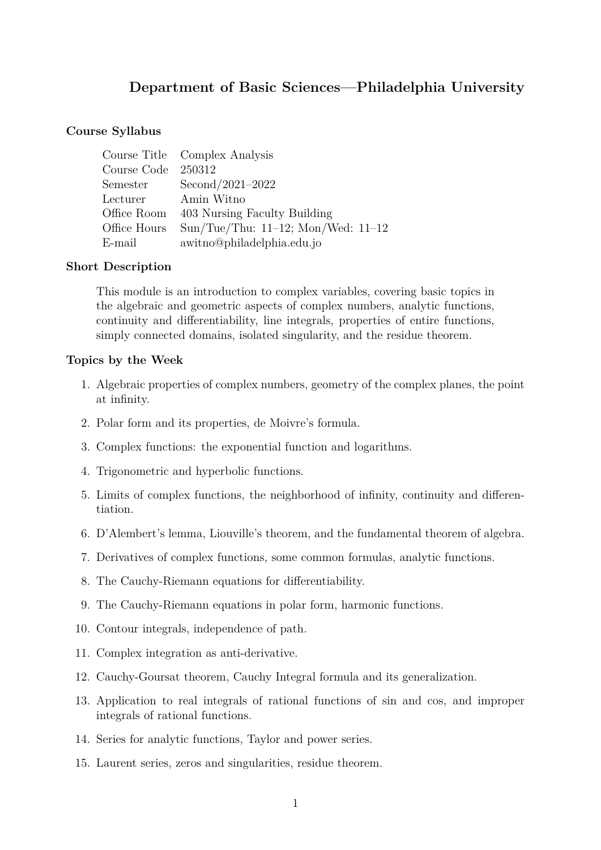# **Department of Basic Sciences—Philadelphia University**

## **Course Syllabus**

|                     | Course Title Complex Analysis           |
|---------------------|-----------------------------------------|
| Course Code 250312  |                                         |
| Semester            | Second/2021-2022                        |
| Lecturer Amin Witno |                                         |
| Office Room         | 403 Nursing Faculty Building            |
| Office Hours        | Sun/Tue/Thu: $11-12$ ; Mon/Wed: $11-12$ |
| E-mail              | awitno@philadelphia.edu.jo              |

## **Short Description**

This module is an introduction to complex variables, covering basic topics in the algebraic and geometric aspects of complex numbers, analytic functions, continuity and differentiability, line integrals, properties of entire functions, simply connected domains, isolated singularity, and the residue theorem.

#### **Topics by the Week**

- 1. Algebraic properties of complex numbers, geometry of the complex planes, the point at infinity.
- 2. Polar form and its properties, de Moivre's formula.
- 3. Complex functions: the exponential function and logarithms.
- 4. Trigonometric and hyperbolic functions.
- 5. Limits of complex functions, the neighborhood of infinity, continuity and differentiation.
- 6. D'Alembert's lemma, Liouville's theorem, and the fundamental theorem of algebra.
- 7. Derivatives of complex functions, some common formulas, analytic functions.
- 8. The Cauchy-Riemann equations for differentiability.
- 9. The Cauchy-Riemann equations in polar form, harmonic functions.
- 10. Contour integrals, independence of path.
- 11. Complex integration as anti-derivative.
- 12. Cauchy-Goursat theorem, Cauchy Integral formula and its generalization.
- 13. Application to real integrals of rational functions of sin and cos, and improper integrals of rational functions.
- 14. Series for analytic functions, Taylor and power series.
- 15. Laurent series, zeros and singularities, residue theorem.